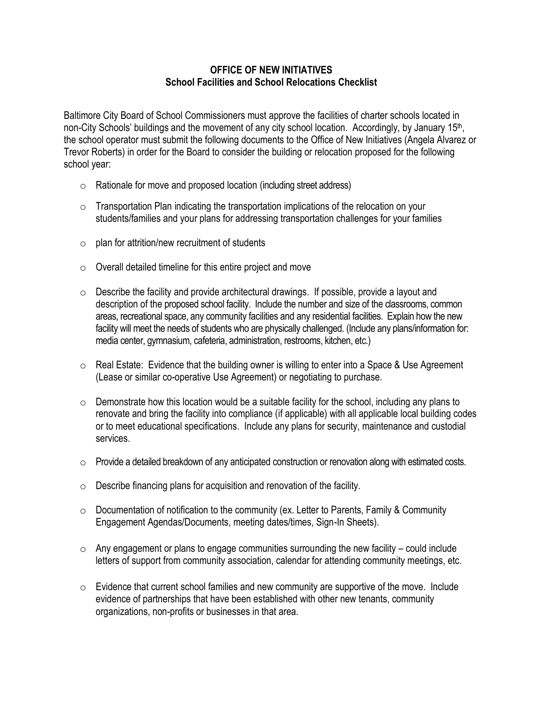## **OFFICE OF NEW INITIATIVES School Facilities and School Relocations Checklist**

Baltimore City Board of School Commissioners must approve the facilities of charter schools located in non-City Schools' buildings and the movement of any city school location. Accordingly, by January 15<sup>th</sup>, the school operator must submit the following documents to the Office of New Initiatives (Angela Alvarez or Trevor Roberts) in order for the Board to consider the building or relocation proposed for the following school year:

- o Rationale for move and proposed location (including street address)
- $\circ$  Transportation Plan indicating the transportation implications of the relocation on your students/families and your plans for addressing transportation challenges for your families
- $\circ$  plan for attrition/new recruitment of students
- $\circ$  Overall detailed timeline for this entire project and move
- $\circ$  Describe the facility and provide architectural drawings. If possible, provide a layout and description of the proposed school facility. Include the number and size of the classrooms, common areas, recreational space, any community facilities and any residential facilities. Explain how the new facility will meet the needs of students who are physically challenged. (Include any plans/information for: media center, gymnasium, cafeteria, administration, restrooms, kitchen, etc.)
- $\circ$  Real Estate: Evidence that the building owner is willing to enter into a Space & Use Agreement (Lease or similar co-operative Use Agreement) or negotiating to purchase.
- $\circ$  Demonstrate how this location would be a suitable facility for the school, including any plans to renovate and bring the facility into compliance (if applicable) with all applicable local building codes or to meet educational specifications. Include any plans for security, maintenance and custodial services.
- $\circ$  Provide a detailed breakdown of any anticipated construction or renovation along with estimated costs.
- $\circ$  Describe financing plans for acquisition and renovation of the facility.
- $\circ$  Documentation of notification to the community (ex. Letter to Parents, Family & Community Engagement Agendas/Documents, meeting dates/times, Sign-In Sheets).
- $\circ$  Any engagement or plans to engage communities surrounding the new facility could include letters of support from community association, calendar for attending community meetings, etc.
- $\circ$  Evidence that current school families and new community are supportive of the move. Include evidence of partnerships that have been established with other new tenants, community organizations, non-profits or businesses in that area.